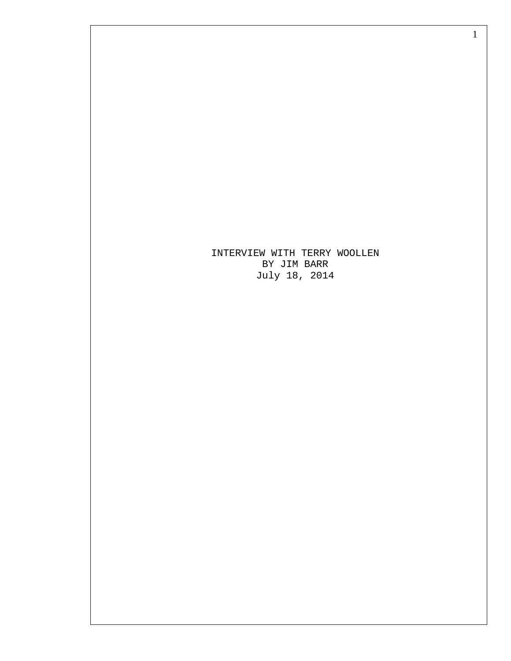INTERVIEW WITH TERRY WOOLLEN BY JIM BARR July 18, 2014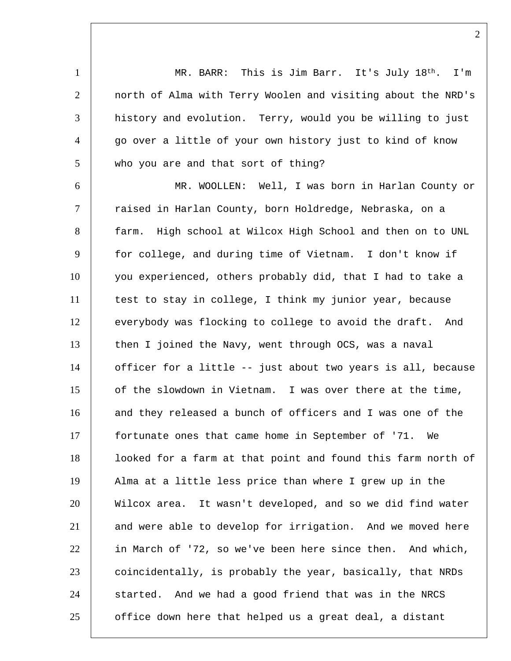1 MR. BARR: This is Jim Barr. It's July  $18^{th}$ . I'm 2 north of Alma with Terry Woolen and visiting about the NRD's 3 history and evolution. Terry, would you be willing to just 4 go over a little of your own history just to kind of know 5 who you are and that sort of thing? 6 MR. WOOLLEN: Well, I was born in Harlan County or 7 | raised in Harlan County, born Holdredge, Nebraska, on a 8 farm. High school at Wilcox High School and then on to UNL 9 for college, and during time of Vietnam. I don't know if 10 you experienced, others probably did, that I had to take a 11 test to stay in college, I think my junior year, because 12 everybody was flocking to college to avoid the draft. And 13 then I joined the Navy, went through OCS, was a naval 14 officer for a little -- just about two years is all, because 15 of the slowdown in Vietnam. I was over there at the time, 16 and they released a bunch of officers and I was one of the 17 fortunate ones that came home in September of '71. We 18 looked for a farm at that point and found this farm north of 19 Alma at a little less price than where I grew up in the 20 Wilcox area. It wasn't developed, and so we did find water 21 and were able to develop for irrigation. And we moved here 22 in March of '72, so we've been here since then. And which, 23 coincidentally, is probably the year, basically, that NRDs  $24$  started. And we had a good friend that was in the NRCS  $25$  | office down here that helped us a great deal, a distant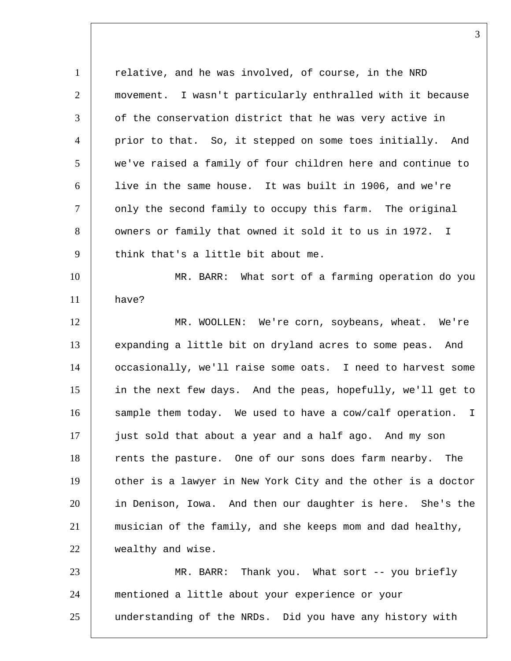1 | relative, and he was involved, of course, in the NRD 2 movement. I wasn't particularly enthralled with it because 3 of the conservation district that he was very active in 4 prior to that. So, it stepped on some toes initially. And 5 we've raised a family of four children here and continue to 6 live in the same house. It was built in 1906, and we're 7 only the second family to occupy this farm. The original 8 | owners or family that owned it sold it to us in 1972. I 9 think that's a little bit about me. 10 MR. BARR: What sort of a farming operation do you 11 have? 12 MR. WOOLLEN: We're corn, soybeans, wheat. We're 13 expanding a little bit on dryland acres to some peas. And 14 occasionally, we'll raise some oats. I need to harvest some 15 in the next few days. And the peas, hopefully, we'll get to 16 | sample them today. We used to have a cow/calf operation. I 17 just sold that about a year and a half ago. And my son 18 Tents the pasture. One of our sons does farm nearby. The 19 other is a lawyer in New York City and the other is a doctor 20 in Denison, Iowa. And then our daughter is here. She's the 21 musician of the family, and she keeps mom and dad healthy, 22 wealthy and wise. 23 MR. BARR: Thank you. What sort -- you briefly 24 mentioned a little about your experience or your 25 understanding of the NRDs. Did you have any history with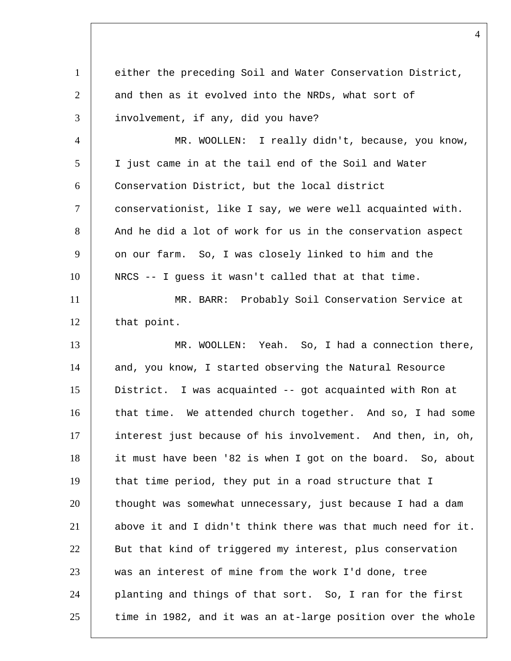1 either the preceding Soil and Water Conservation District, 2 and then as it evolved into the NRDs, what sort of 3 involvement, if any, did you have? 4 MR. WOOLLEN: I really didn't, because, you know, 5 I just came in at the tail end of the Soil and Water 6 Conservation District, but the local district 7 conservationist, like I say, we were well acquainted with. 8 And he did a lot of work for us in the conservation aspect 9 on our farm. So, I was closely linked to him and the 10 NRCS -- I guess it wasn't called that at that time. 11 MR. BARR: Probably Soil Conservation Service at 12 | that point. 13 MR. WOOLLEN: Yeah. So, I had a connection there, 14 and, you know, I started observing the Natural Resource 15 District. I was acquainted -- got acquainted with Ron at 16 that time. We attended church together. And so, I had some 17 interest just because of his involvement. And then, in, oh, 18 it must have been '82 is when I got on the board. So, about 19 that time period, they put in a road structure that I 20 thought was somewhat unnecessary, just because I had a dam 21 above it and I didn't think there was that much need for it. 22 But that kind of triggered my interest, plus conservation 23 was an interest of mine from the work I'd done, tree 24 planting and things of that sort. So, I ran for the first 25 time in 1982, and it was an at-large position over the whole

 $\Delta$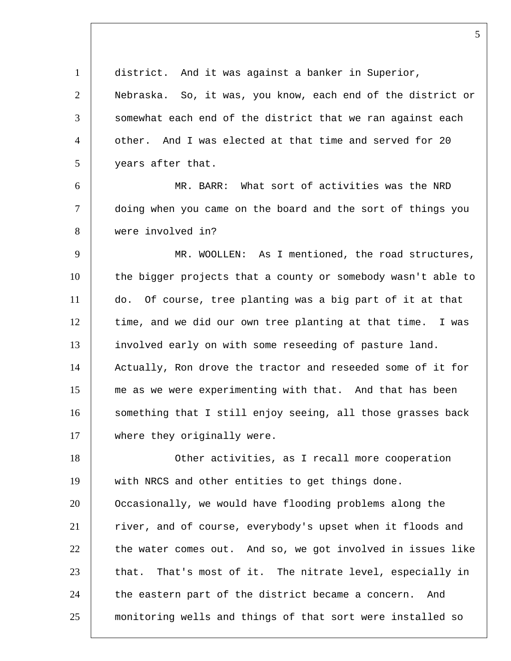district. And it was against a banker in Superior, Nebraska. So, it was, you know, each end of the district or somewhat each end of the district that we ran against each other. And I was elected at that time and served for 20 5 years after that. MR. BARR: What sort of activities was the NRD doing when you came on the board and the sort of things you were involved in? 9 MR. WOOLLEN: As I mentioned, the road structures, the bigger projects that a county or somebody wasn't able to do. Of course, tree planting was a big part of it at that 12 time, and we did our own tree planting at that time. I was involved early on with some reseeding of pasture land. Actually, Ron drove the tractor and reseeded some of it for me as we were experimenting with that. And that has been 16 | something that I still enjoy seeing, all those grasses back 17 where they originally were. **Other activities, as I recall more cooperation** 19 | with NRCS and other entities to get things done. 20 Occasionally, we would have flooding problems along the 21 Tiver, and of course, everybody's upset when it floods and 22 the water comes out. And so, we got involved in issues like 23 that. That's most of it. The nitrate level, especially in the eastern part of the district became a concern. And monitoring wells and things of that sort were installed so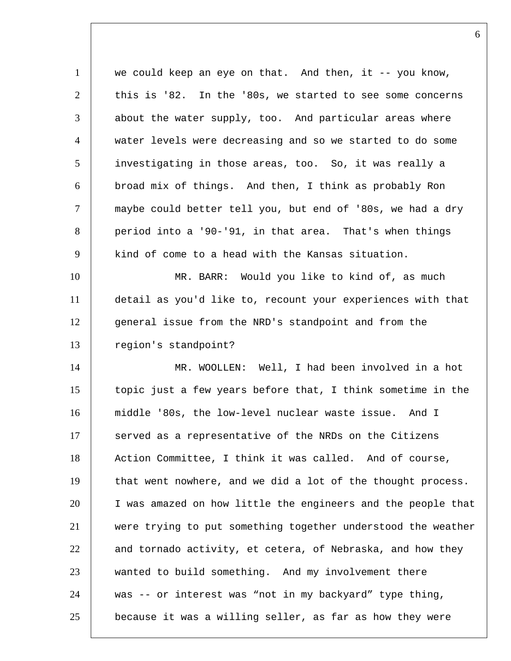1 we could keep an eye on that. And then, it -- you know, this is '82. In the '80s, we started to see some concerns 3 | about the water supply, too. And particular areas where water levels were decreasing and so we started to do some investigating in those areas, too. So, it was really a broad mix of things. And then, I think as probably Ron maybe could better tell you, but end of '80s, we had a dry period into a '90-'91, in that area. That's when things kind of come to a head with the Kansas situation. MR. BARR: Would you like to kind of, as much detail as you'd like to, recount your experiences with that general issue from the NRD's standpoint and from the 13 region's standpoint? MR. WOOLLEN: Well, I had been involved in a hot topic just a few years before that, I think sometime in the middle '80s, the low-level nuclear waste issue. And I 17 | served as a representative of the NRDs on the Citizens 18 | Action Committee, I think it was called. And of course, 19 | that went nowhere, and we did a lot of the thought process. I was amazed on how little the engineers and the people that were trying to put something together understood the weather 22 and tornado activity, et cetera, of Nebraska, and how they 23 wanted to build something. And my involvement there was -- or interest was "not in my backyard" type thing, because it was a willing seller, as far as how they were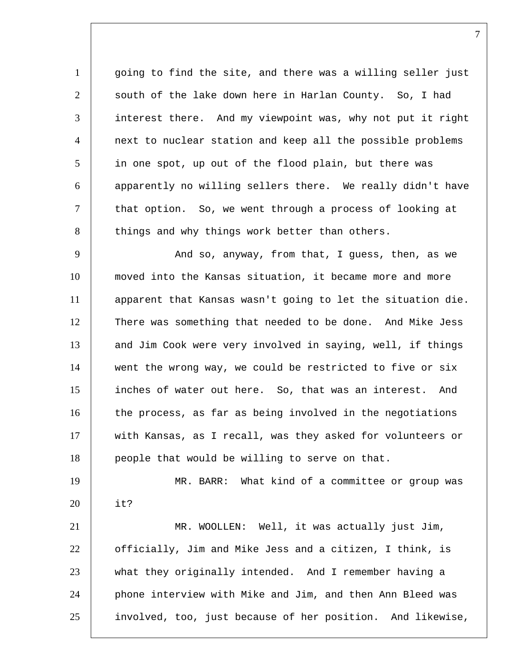1 going to find the site, and there was a willing seller just  $2$  south of the lake down here in Harlan County. So, I had 3 interest there. And my viewpoint was, why not put it right 4 next to nuclear station and keep all the possible problems 5 in one spot, up out of the flood plain, but there was 6 apparently no willing sellers there. We really didn't have 7 that option. So, we went through a process of looking at 8 things and why things work better than others.

9 | And so, anyway, from that, I guess, then, as we 10 moved into the Kansas situation, it became more and more 11 apparent that Kansas wasn't going to let the situation die. 12 There was something that needed to be done. And Mike Jess 13 and Jim Cook were very involved in saying, well, if things  $14$  went the wrong way, we could be restricted to five or six 15 inches of water out here. So, that was an interest. And 16 the process, as far as being involved in the negotiations 17 | with Kansas, as I recall, was they asked for volunteers or 18 people that would be willing to serve on that.

19 | MR. BARR: What kind of a committee or group was 20 it? 21 MR. WOOLLEN: Well, it was actually just Jim, 22 officially, Jim and Mike Jess and a citizen, I think, is 23 what they originally intended. And I remember having a 24 phone interview with Mike and Jim, and then Ann Bleed was 25 involved, too, just because of her position. And likewise,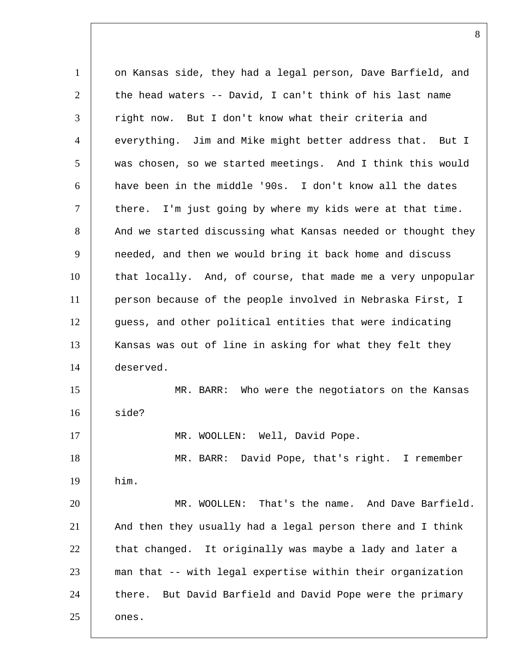1 | on Kansas side, they had a legal person, Dave Barfield, and the head waters -- David, I can't think of his last name 3 | right now. But I don't know what their criteria and everything. Jim and Mike might better address that. But I was chosen, so we started meetings. And I think this would have been in the middle '90s. I don't know all the dates 7 there. I'm just going by where my kids were at that time. 8 And we started discussing what Kansas needed or thought they 9 | needed, and then we would bring it back home and discuss 10 that locally. And, of course, that made me a very unpopular person because of the people involved in Nebraska First, I 12 guess, and other political entities that were indicating Kansas was out of line in asking for what they felt they deserved. MR. BARR: Who were the negotiators on the Kansas side? 17 | MR. WOOLLEN: Well, David Pope. MR. BARR: David Pope, that's right. I remember him. MR. WOOLLEN: That's the name. And Dave Barfield. And then they usually had a legal person there and I think that changed. It originally was maybe a lady and later a man that -- with legal expertise within their organization 24 there. But David Barfield and David Pope were the primary ones.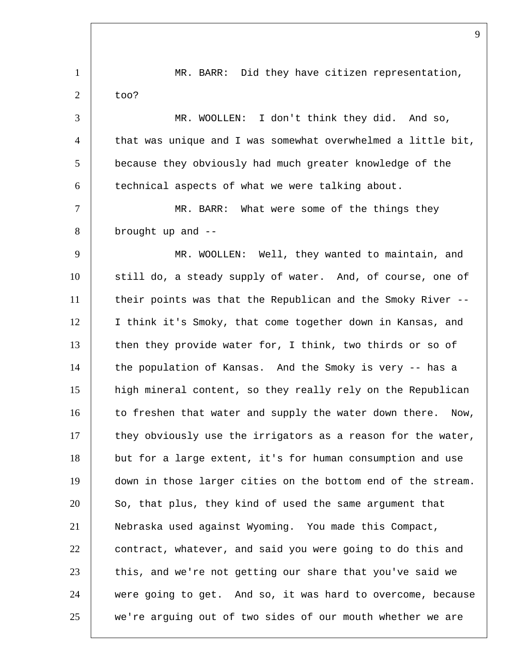1 MR. BARR: Did they have citizen representation,  $2 \mid$  too? 3 MR. WOOLLEN: I don't think they did. And so, 4 that was unique and I was somewhat overwhelmed a little bit, 5 because they obviously had much greater knowledge of the 6 technical aspects of what we were talking about. 7 | MR. BARR: What were some of the things they 8 brought up and -- 9 | MR. WOOLLEN: Well, they wanted to maintain, and 10 still do, a steady supply of water. And, of course, one of 11 their points was that the Republican and the Smoky River -- 12 | I think it's Smoky, that come together down in Kansas, and 13 then they provide water for, I think, two thirds or so of 14 the population of Kansas. And the Smoky is very -- has a 15 high mineral content, so they really rely on the Republican 16 to freshen that water and supply the water down there. Now,  $17$  they obviously use the irrigators as a reason for the water, 18 but for a large extent, it's for human consumption and use 19 down in those larger cities on the bottom end of the stream. 20 So, that plus, they kind of used the same argument that 21 Nebraska used against Wyoming. You made this Compact, 22 contract, whatever, and said you were going to do this and 23 this, and we're not getting our share that you've said we 24 were going to get. And so, it was hard to overcome, because 25 we're arguing out of two sides of our mouth whether we are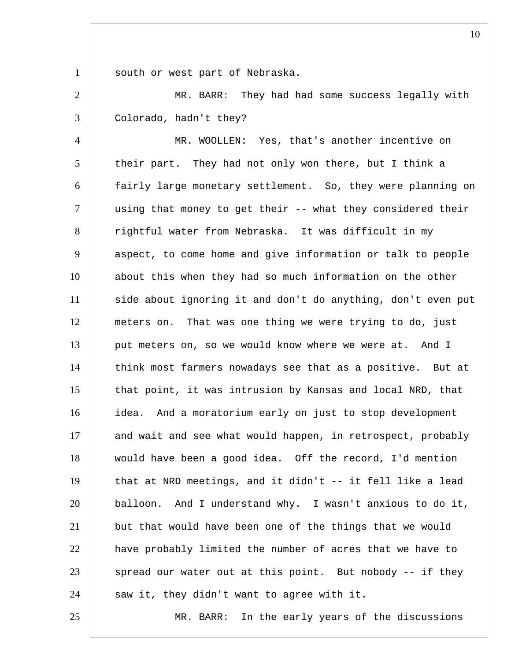1 south or west part of Nebraska.

 MR. BARR: They had had some success legally with Colorado, hadn't they?

 MR. WOOLLEN: Yes, that's another incentive on 5 their part. They had not only won there, but I think a fairly large monetary settlement. So, they were planning on using that money to get their -- what they considered their 8 rightful water from Nebraska. It was difficult in my 9 aspect, to come home and give information or talk to people 10 about this when they had so much information on the other side about ignoring it and don't do anything, don't even put meters on. That was one thing we were trying to do, just 13 put meters on, so we would know where we were at. And I 14 | think most farmers nowadays see that as a positive. But at 15 that point, it was intrusion by Kansas and local NRD, that idea. And a moratorium early on just to stop development 17 and wait and see what would happen, in retrospect, probably would have been a good idea. Off the record, I'd mention that at NRD meetings, and it didn't -- it fell like a lead balloon. And I understand why. I wasn't anxious to do it, but that would have been one of the things that we would have probably limited the number of acres that we have to spread our water out at this point. But nobody  $-$  if they | saw it, they didn't want to agree with it.

MR. BARR: In the early years of the discussions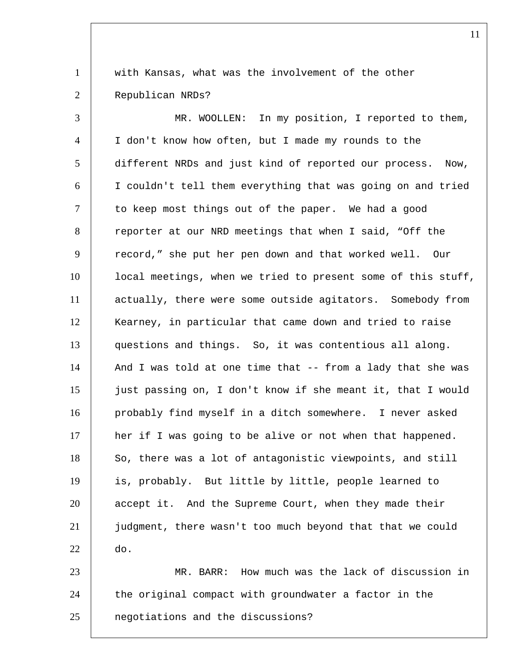with Kansas, what was the involvement of the other 2 Republican NRDs?

3 | MR. WOOLLEN: In my position, I reported to them, I don't know how often, but I made my rounds to the different NRDs and just kind of reported our process. Now, I couldn't tell them everything that was going on and tried 7 to keep most things out of the paper. We had a good 8 reporter at our NRD meetings that when I said, "Off the 9 | record," she put her pen down and that worked well. Our local meetings, when we tried to present some of this stuff, actually, there were some outside agitators. Somebody from Kearney, in particular that came down and tried to raise questions and things. So, it was contentious all along. 14 | And I was told at one time that -- from a lady that she was just passing on, I don't know if she meant it, that I would 16 probably find myself in a ditch somewhere. I never asked 17 | her if I was going to be alive or not when that happened. 18 So, there was a lot of antagonistic viewpoints, and still is, probably. But little by little, people learned to accept it. And the Supreme Court, when they made their judgment, there wasn't too much beyond that that we could do. MR. BARR: How much was the lack of discussion in 24 the original compact with groundwater a factor in the

negotiations and the discussions?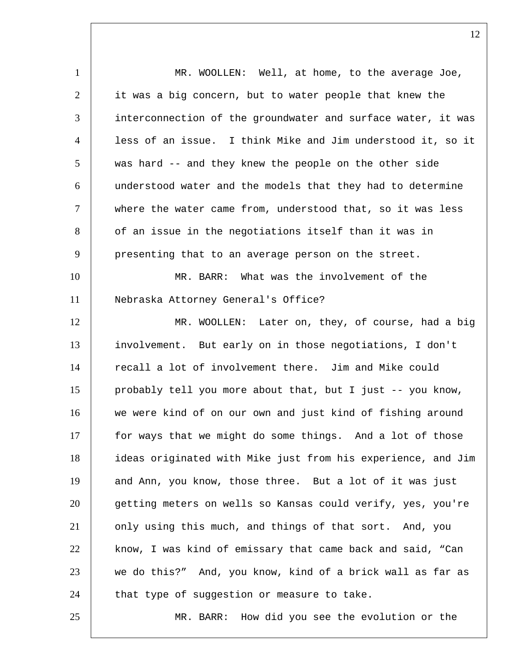1 MR. WOOLLEN: Well, at home, to the average Joe, 2 it was a big concern, but to water people that knew the 3 interconnection of the groundwater and surface water, it was less of an issue. I think Mike and Jim understood it, so it was hard -- and they knew the people on the other side understood water and the models that they had to determine where the water came from, understood that, so it was less 8 of an issue in the negotiations itself than it was in 9 presenting that to an average person on the street. MR. BARR: What was the involvement of the Nebraska Attorney General's Office? MR. WOOLLEN: Later on, they, of course, had a big involvement. But early on in those negotiations, I don't recall a lot of involvement there. Jim and Mike could probably tell you more about that, but I just -- you know, 16 we were kind of on our own and just kind of fishing around 17 | for ways that we might do some things. And a lot of those ideas originated with Mike just from his experience, and Jim 19 and Ann, you know, those three. But a lot of it was just getting meters on wells so Kansas could verify, yes, you're only using this much, and things of that sort. And, you 22 know, I was kind of emissary that came back and said, "Can we do this?" And, you know, kind of a brick wall as far as | that type of suggestion or measure to take. MR. BARR: How did you see the evolution or the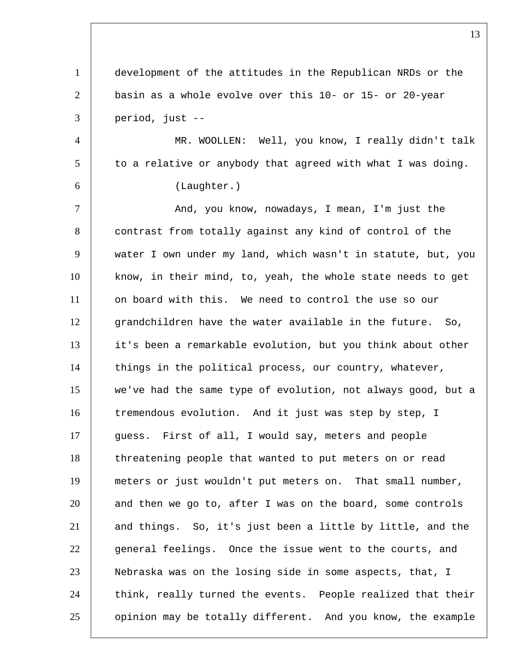1 development of the attitudes in the Republican NRDs or the 2 basin as a whole evolve over this 10- or 15- or 20-year 3 period, just -- 4 | MR. WOOLLEN: Well, you know, I really didn't talk  $5$  to a relative or anybody that agreed with what I was doing. 6 (Laughter.) 7 | And, you know, nowadays, I mean, I'm just the 8 contrast from totally against any kind of control of the 9 water I own under my land, which wasn't in statute, but, you 10 know, in their mind, to, yeah, the whole state needs to get 11 on board with this. We need to control the use so our 12 grandchildren have the water available in the future. So, 13 it's been a remarkable evolution, but you think about other 14 things in the political process, our country, whatever, 15 we've had the same type of evolution, not always good, but a 16 tremendous evolution. And it just was step by step, I 17 guess. First of all, I would say, meters and people 18 threatening people that wanted to put meters on or read 19 meters or just wouldn't put meters on. That small number, 20 and then we go to, after I was on the board, some controls 21 and things. So, it's just been a little by little, and the 22 general feelings. Once the issue went to the courts, and 23 Nebraska was on the losing side in some aspects, that, I 24 think, really turned the events. People realized that their 25 opinion may be totally different. And you know, the example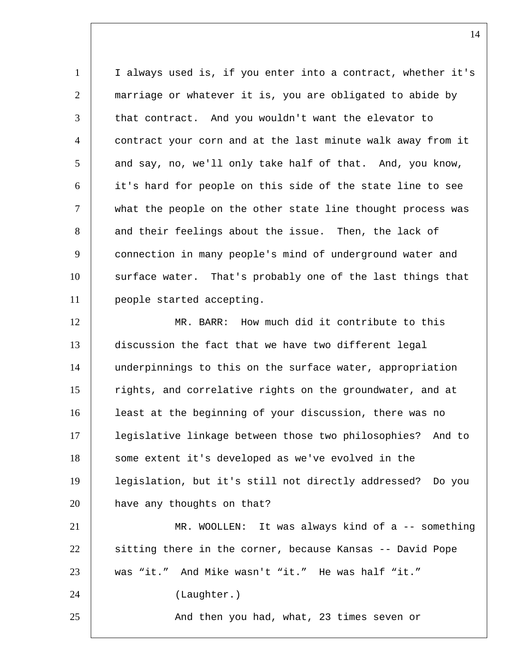I always used is, if you enter into a contract, whether it's marriage or whatever it is, you are obligated to abide by 3 that contract. And you wouldn't want the elevator to contract your corn and at the last minute walk away from it and say, no, we'll only take half of that. And, you know, it's hard for people on this side of the state line to see what the people on the other state line thought process was 8 and their feelings about the issue. Then, the lack of 9 | connection in many people's mind of underground water and 10 surface water. That's probably one of the last things that people started accepting.

 MR. BARR: How much did it contribute to this discussion the fact that we have two different legal 14 | underpinnings to this on the surface water, appropriation 15 Tights, and correlative rights on the groundwater, and at least at the beginning of your discussion, there was no legislative linkage between those two philosophies? And to 18 some extent it's developed as we've evolved in the legislation, but it's still not directly addressed? Do you **have any thoughts on that?**  MR. WOOLLEN: It was always kind of a -- something 22 sitting there in the corner, because Kansas -- David Pope was "it." And Mike wasn't "it." He was half "it."

(Laughter.)

25 And then you had, what, 23 times seven or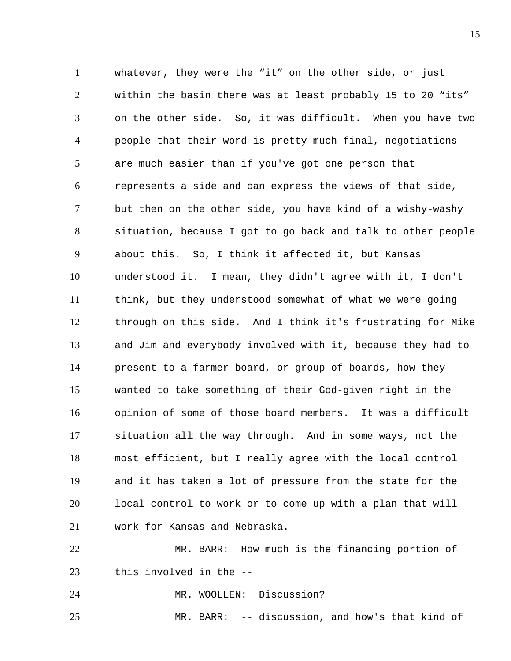whatever, they were the "it" on the other side, or just within the basin there was at least probably 15 to 20 "its" on the other side. So, it was difficult. When you have two people that their word is pretty much final, negotiations 5 are much easier than if you've got one person that represents a side and can express the views of that side, but then on the other side, you have kind of a wishy-washy 8 situation, because I got to go back and talk to other people about this. So, I think it affected it, but Kansas understood it. I mean, they didn't agree with it, I don't think, but they understood somewhat of what we were going 12 through on this side. And I think it's frustrating for Mike 13 and Jim and everybody involved with it, because they had to 14 present to a farmer board, or group of boards, how they wanted to take something of their God-given right in the 16 opinion of some of those board members. It was a difficult 17 | situation all the way through. And in some ways, not the most efficient, but I really agree with the local control 19 and it has taken a lot of pressure from the state for the local control to work or to come up with a plan that will work for Kansas and Nebraska. MR. BARR: How much is the financing portion of | this involved in the  $-$ 24 | MR. WOOLLEN: Discussion? MR. BARR: -- discussion, and how's that kind of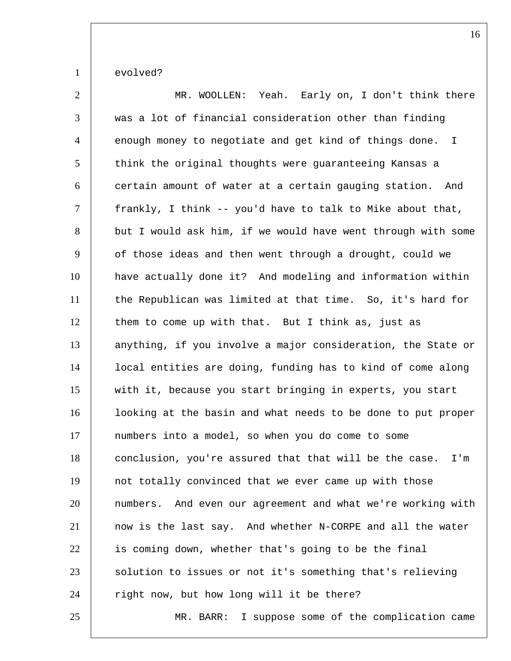1 evolved?

| $\overline{2}$ | MR. WOOLLEN: Yeah. Early on, I don't think there              |
|----------------|---------------------------------------------------------------|
| 3              | was a lot of financial consideration other than finding       |
| 4              | enough money to negotiate and get kind of things done. I      |
| 5              | think the original thoughts were guaranteeing Kansas a        |
| 6              | certain amount of water at a certain gauging station. And     |
| $\tau$         | frankly, I think -- you'd have to talk to Mike about that,    |
| 8              | but I would ask him, if we would have went through with some  |
| 9              | of those ideas and then went through a drought, could we      |
| 10             | have actually done it? And modeling and information within    |
| 11             | the Republican was limited at that time. So, it's hard for    |
| 12             | them to come up with that. But I think as, just as            |
| 13             | anything, if you involve a major consideration, the State or  |
| 14             | local entities are doing, funding has to kind of come along   |
| 15             | with it, because you start bringing in experts, you start     |
| 16             | looking at the basin and what needs to be done to put proper  |
| 17             | numbers into a model, so when you do come to some             |
| 18             | conclusion, you're assured that that will be the case.<br>I'm |
| 19             | not totally convinced that we ever came up with those         |
| 20             | numbers. And even our agreement and what we're working with   |
| 21             | now is the last say. And whether N-CORPE and all the water    |
| 22             | is coming down, whether that's going to be the final          |
| 23             | solution to issues or not it's something that's relieving     |
| 24             | right now, but how long will it be there?                     |
| 25             | MR. BARR: I suppose some of the complication came             |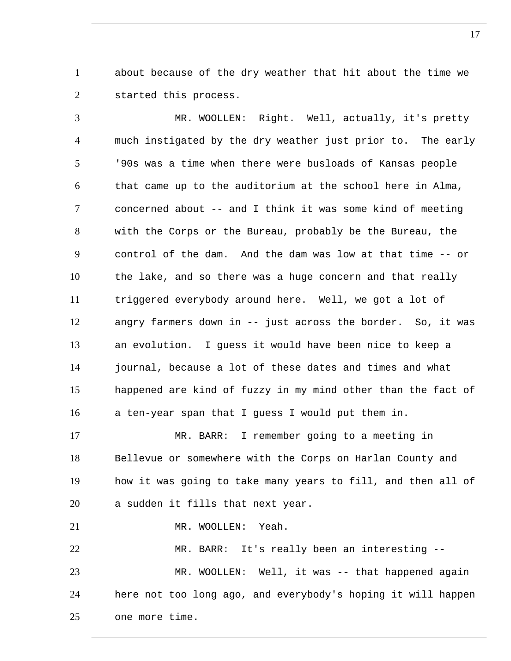1 about because of the dry weather that hit about the time we 2 started this process.

| 3              | MR. WOOLLEN: Right. Well, actually, it's pretty              |
|----------------|--------------------------------------------------------------|
| $\overline{4}$ | much instigated by the dry weather just prior to. The early  |
| 5              | '90s was a time when there were busloads of Kansas people    |
| 6              | that came up to the auditorium at the school here in Alma,   |
| $\tau$         | concerned about -- and I think it was some kind of meeting   |
| 8              | with the Corps or the Bureau, probably be the Bureau, the    |
| 9              | control of the dam. And the dam was low at that time -- or   |
| 10             | the lake, and so there was a huge concern and that really    |
| 11             | triggered everybody around here. Well, we got a lot of       |
| 12             | angry farmers down in -- just across the border. So, it was  |
| 13             | an evolution. I guess it would have been nice to keep a      |
| 14             | journal, because a lot of these dates and times and what     |
| 15             | happened are kind of fuzzy in my mind other than the fact of |
| 16             | a ten-year span that I guess I would put them in.            |
| 17             | MR. BARR: I remember going to a meeting in                   |
| 18             | Bellevue or somewhere with the Corps on Harlan County and    |
| 19             | how it was going to take many years to fill, and then all of |
| 20             | a sudden it fills that next year.                            |
| 21             | MR. WOOLLEN:<br>Yeah.                                        |
| 22             | MR. BARR: It's really been an interesting --                 |
| 23             | MR. WOOLLEN: Well, it was -- that happened again             |
| 24             | here not too long ago, and everybody's hoping it will happen |
| 25             | one more time.                                               |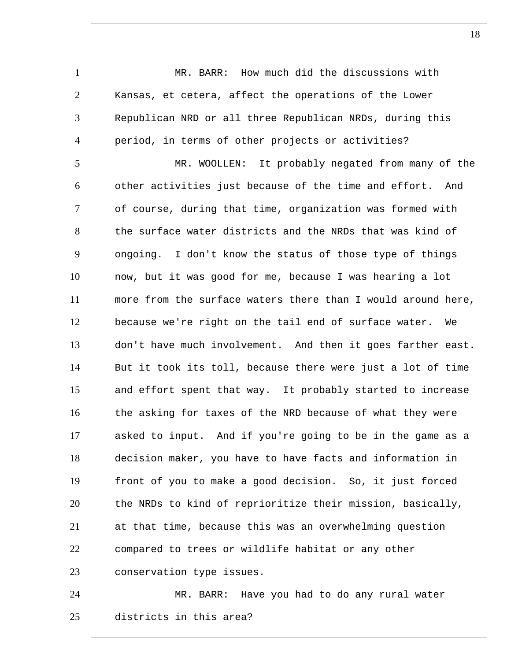1 | MR. BARR: How much did the discussions with  $|$  Kansas, et cetera, affect the operations of the Lower 3 Republican NRD or all three Republican NRDs, during this period, in terms of other projects or activities? MR. WOOLLEN: It probably negated from many of the other activities just because of the time and effort. And of course, during that time, organization was formed with 8 the surface water districts and the NRDs that was kind of 9 ongoing. I don't know the status of those type of things now, but it was good for me, because I was hearing a lot more from the surface waters there than I would around here, because we're right on the tail end of surface water. We don't have much involvement. And then it goes farther east. 14 But it took its toll, because there were just a lot of time 15 and effort spent that way. It probably started to increase 16 the asking for taxes of the NRD because of what they were 17 asked to input. And if you're going to be in the game as a decision maker, you have to have facts and information in front of you to make a good decision. So, it just forced 20 the NRDs to kind of reprioritize their mission, basically, at that time, because this was an overwhelming question compared to trees or wildlife habitat or any other 23 | conservation type issues. MR. BARR: Have you had to do any rural water

districts in this area?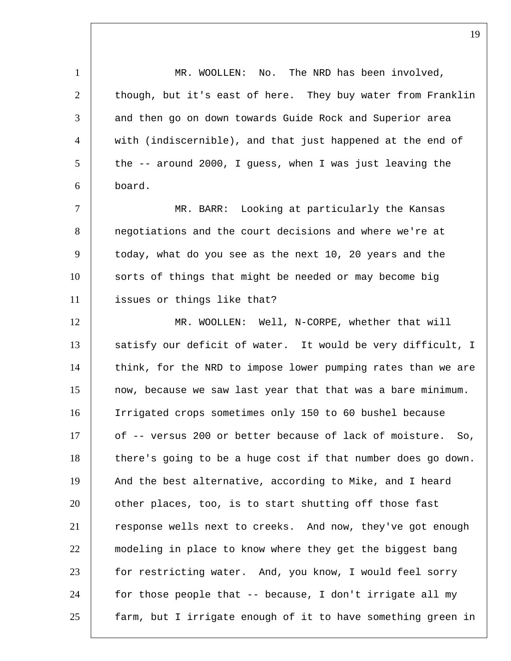1 | MR. WOOLLEN: No. The NRD has been involved, 2 though, but it's east of here. They buy water from Franklin 3 and then go on down towards Guide Rock and Superior area 4 with (indiscernible), and that just happened at the end of  $5$  the -- around 2000, I guess, when I was just leaving the 6 board. 7 | MR. BARR: Looking at particularly the Kansas 8 negotiations and the court decisions and where we're at 9 | today, what do you see as the next 10, 20 years and the 10 sorts of things that might be needed or may become big 11 | issues or things like that? 12 MR. WOOLLEN: Well, N-CORPE, whether that will 13 satisfy our deficit of water. It would be very difficult, I 14 think, for the NRD to impose lower pumping rates than we are 15 now, because we saw last year that that was a bare minimum. 16 Irrigated crops sometimes only 150 to 60 bushel because 17 of -- versus 200 or better because of lack of moisture. So, 18 | there's going to be a huge cost if that number does go down. 19 | And the best alternative, according to Mike, and I heard 20 other places, too, is to start shutting off those fast 21 response wells next to creeks. And now, they've got enough 22 modeling in place to know where they get the biggest bang 23 | for restricting water. And, you know, I would feel sorry 24 for those people that -- because, I don't irrigate all my 25 farm, but I irrigate enough of it to have something green in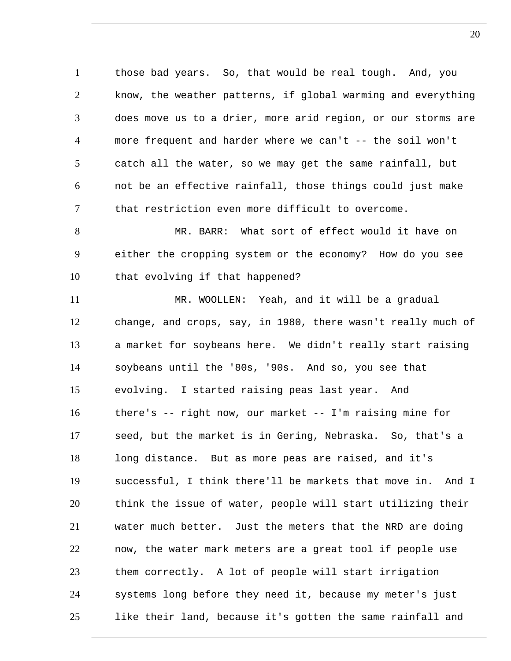1 | those bad years. So, that would be real tough. And, you 2 know, the weather patterns, if global warming and everything 3 does move us to a drier, more arid region, or our storms are 4 more frequent and harder where we can't -- the soil won't 5 catch all the water, so we may get the same rainfall, but  $6$  not be an effective rainfall, those things could just make 7 that restriction even more difficult to overcome. 8 MR. BARR: What sort of effect would it have on 9 | either the cropping system or the economy? How do you see 10 | that evolving if that happened? 11 MR. WOOLLEN: Yeah, and it will be a gradual 12 change, and crops, say, in 1980, there wasn't really much of 13 a market for soybeans here. We didn't really start raising 14 soybeans until the '80s, '90s. And so, you see that 15 evolving. I started raising peas last year. And 16 there's -- right now, our market -- I'm raising mine for 17 | seed, but the market is in Gering, Nebraska. So, that's a 18 | long distance. But as more peas are raised, and it's 19 successful, I think there'll be markets that move in. And I 20 | think the issue of water, people will start utilizing their 21 water much better. Just the meters that the NRD are doing 22 now, the water mark meters are a great tool if people use 23 them correctly. A lot of people will start irrigation 24 systems long before they need it, because my meter's just 25 like their land, because it's gotten the same rainfall and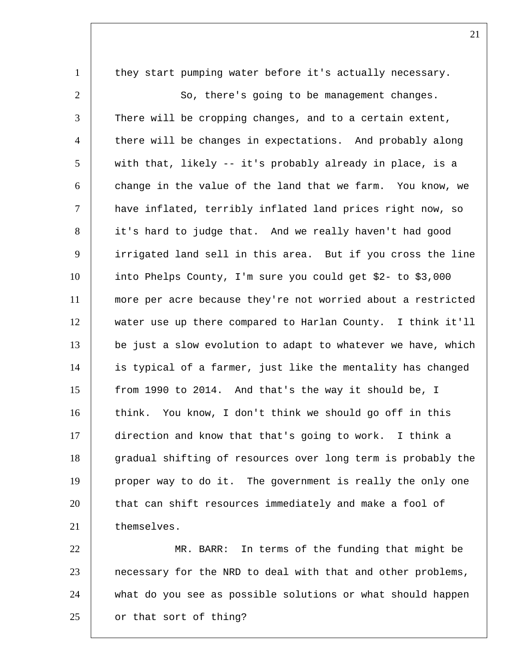1 they start pumping water before it's actually necessary. 2 So, there's going to be management changes. 3 There will be cropping changes, and to a certain extent, 4 there will be changes in expectations. And probably along 5 with that, likely -- it's probably already in place, is a  $6$  change in the value of the land that we farm. You know, we 7 have inflated, terribly inflated land prices right now, so 8 it's hard to judge that. And we really haven't had good 9 irrigated land sell in this area. But if you cross the line 10 into Phelps County, I'm sure you could get \$2- to \$3,000 11 more per acre because they're not worried about a restricted 12 water use up there compared to Harlan County. I think it'll 13 be just a slow evolution to adapt to whatever we have, which 14 is typical of a farmer, just like the mentality has changed 15 from 1990 to 2014. And that's the way it should be, I 16 think. You know, I don't think we should go off in this 17 direction and know that that's going to work. I think a 18 gradual shifting of resources over long term is probably the 19 proper way to do it. The government is really the only one 20 that can shift resources immediately and make a fool of 21 | themselves. 22 MR. BARR: In terms of the funding that might be 23 necessary for the NRD to deal with that and other problems,

24 what do you see as possible solutions or what should happen

25 or that sort of thing?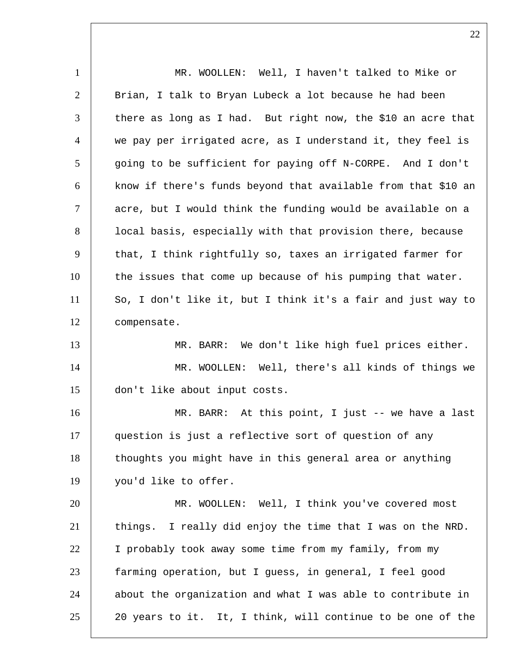MR. WOOLLEN: Well, I haven't talked to Mike or 2 | Brian, I talk to Bryan Lubeck a lot because he had been there as long as I had. But right now, the \$10 an acre that we pay per irrigated acre, as I understand it, they feel is going to be sufficient for paying off N-CORPE. And I don't know if there's funds beyond that available from that \$10 an acre, but I would think the funding would be available on a 8 | local basis, especially with that provision there, because 9 | that, I think rightfully so, taxes an irrigated farmer for 10 the issues that come up because of his pumping that water. So, I don't like it, but I think it's a fair and just way to compensate. MR. BARR: We don't like high fuel prices either. 14 | MR. WOOLLEN: Well, there's all kinds of things we don't like about input costs. 16 | MR. BARR: At this point, I just -- we have a last question is just a reflective sort of question of any 18 thoughts you might have in this general area or anything you'd like to offer. MR. WOOLLEN: Well, I think you've covered most 21 | things. I really did enjoy the time that I was on the NRD. I probably took away some time from my family, from my farming operation, but I guess, in general, I feel good 24 about the organization and what I was able to contribute in 25 20 years to it. It, I think, will continue to be one of the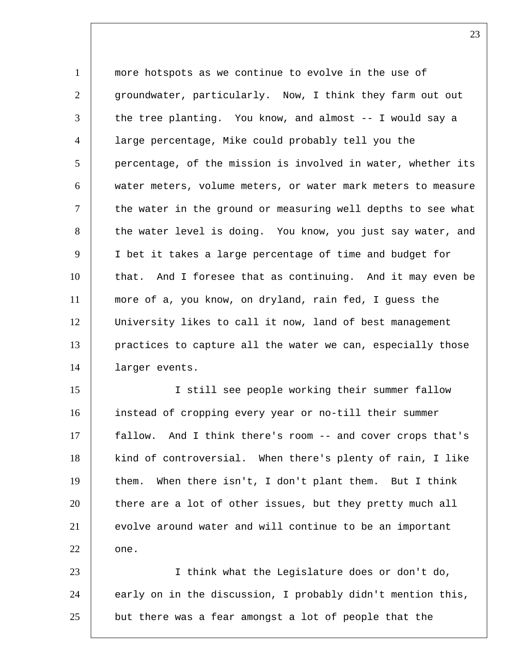more hotspots as we continue to evolve in the use of groundwater, particularly. Now, I think they farm out out  $\vert$  the tree planting. You know, and almost -- I would say a large percentage, Mike could probably tell you the percentage, of the mission is involved in water, whether its water meters, volume meters, or water mark meters to measure 7 the water in the ground or measuring well depths to see what 8 the water level is doing. You know, you just say water, and 9 | I bet it takes a large percentage of time and budget for 10 that. And I foresee that as continuing. And it may even be more of a, you know, on dryland, rain fed, I guess the University likes to call it now, land of best management practices to capture all the water we can, especially those larger events.

 I still see people working their summer fallow instead of cropping every year or no-till their summer fallow. And I think there's room -- and cover crops that's 18 | kind of controversial. When there's plenty of rain, I like them. When there isn't, I don't plant them. But I think there are a lot of other issues, but they pretty much all evolve around water and will continue to be an important one.

 I think what the Legislature does or don't do, 24 early on in the discussion, I probably didn't mention this, 25 but there was a fear amongst a lot of people that the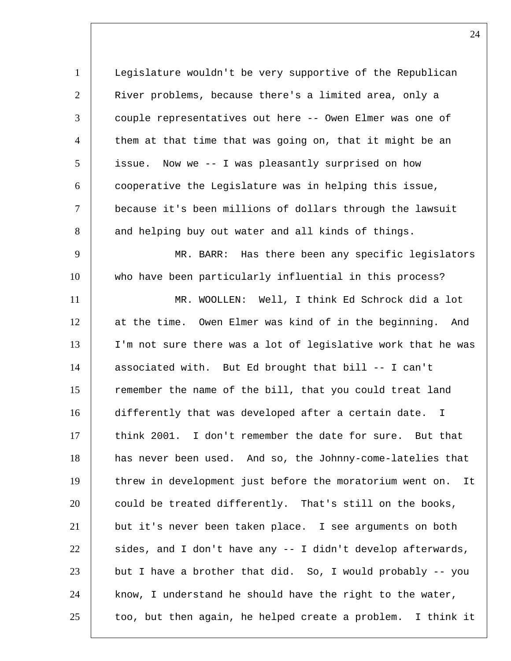Legislature wouldn't be very supportive of the Republican River problems, because there's a limited area, only a couple representatives out here -- Owen Elmer was one of 4 | them at that time that was going on, that it might be an issue. Now we -- I was pleasantly surprised on how cooperative the Legislature was in helping this issue, because it's been millions of dollars through the lawsuit 8 and helping buy out water and all kinds of things. 9 | MR. BARR: Has there been any specific legislators who have been particularly influential in this process? MR. WOOLLEN: Well, I think Ed Schrock did a lot at the time. Owen Elmer was kind of in the beginning. And I'm not sure there was a lot of legislative work that he was associated with. But Ed brought that bill -- I can't 15 remember the name of the bill, that you could treat land 16 differently that was developed after a certain date. I think 2001. I don't remember the date for sure. But that has never been used. And so, the Johnny-come-latelies that 19 threw in development just before the moratorium went on. It 20 could be treated differently. That's still on the books, 21 | but it's never been taken place. I see arguments on both sides, and I don't have any  $-1$  didn't develop afterwards, but I have a brother that did. So, I would probably  $-$ - you know, I understand he should have the right to the water, too, but then again, he helped create a problem. I think it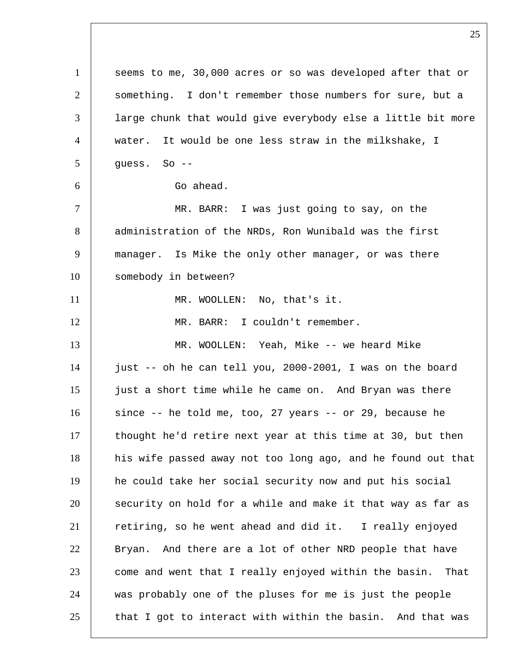1 seems to me, 30,000 acres or so was developed after that or something. I don't remember those numbers for sure, but a large chunk that would give everybody else a little bit more water. It would be one less straw in the milkshake, I  $5 \mid$  guess. So -- Go ahead. MR. BARR: I was just going to say, on the 8 administration of the NRDs, Ron Wunibald was the first manager. Is Mike the only other manager, or was there 10 | somebody in between? 11 | MR. WOOLLEN: No, that's it. MR. BARR: I couldn't remember. MR. WOOLLEN: Yeah, Mike -- we heard Mike just -- oh he can tell you, 2000-2001, I was on the board just a short time while he came on. And Bryan was there since -- he told me, too, 27 years -- or 29, because he thought he'd retire next year at this time at 30, but then his wife passed away not too long ago, and he found out that he could take her social security now and put his social 20 | security on hold for a while and make it that way as far as 21 retiring, so he went ahead and did it. I really enjoyed 22 Bryan. And there are a lot of other NRD people that have 23 come and went that I really enjoyed within the basin. That was probably one of the pluses for me is just the people 25 that I got to interact with within the basin. And that was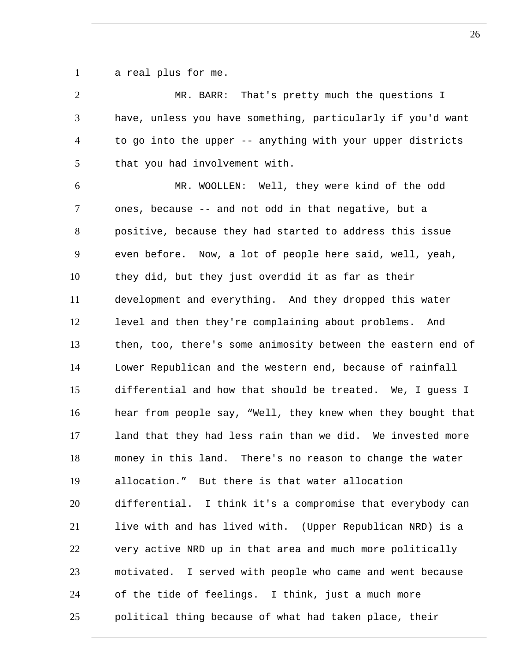1 a real plus for me.

| MR. BARR: That's pretty much the questions I                 |
|--------------------------------------------------------------|
| have, unless you have something, particularly if you'd want  |
| to go into the upper -- anything with your upper districts   |
| that you had involvement with.                               |
| MR. WOOLLEN: Well, they were kind of the odd                 |
| ones, because -- and not odd in that negative, but a         |
| positive, because they had started to address this issue     |
| even before. Now, a lot of people here said, well, yeah,     |
| they did, but they just overdid it as far as their           |
| development and everything. And they dropped this water      |
| level and then they're complaining about problems. And       |
| then, too, there's some animosity between the eastern end of |
| Lower Republican and the western end, because of rainfall    |
| differential and how that should be treated. We, I guess I   |
| hear from people say, "Well, they knew when they bought that |
| land that they had less rain than we did. We invested more   |
| money in this land. There's no reason to change the water    |
| allocation." But there is that water allocation              |
| differential. I think it's a compromise that everybody can   |
| live with and has lived with. (Upper Republican NRD) is a    |
| very active NRD up in that area and much more politically    |
| motivated. I served with people who came and went because    |
| of the tide of feelings. I think, just a much more           |
| political thing because of what had taken place, their       |
|                                                              |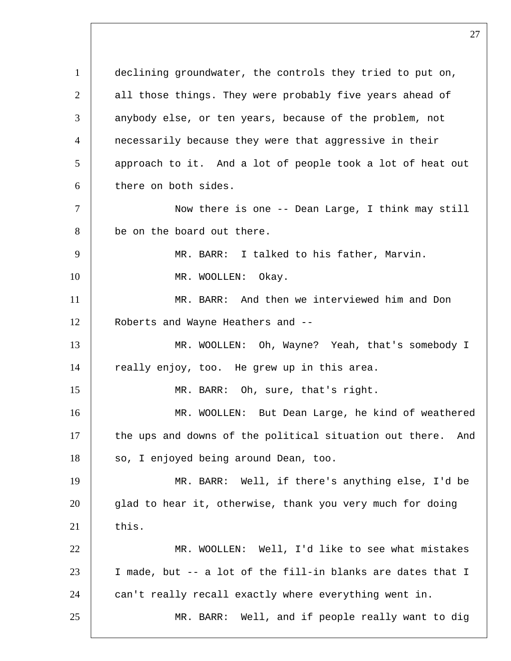declining groundwater, the controls they tried to put on, 2 all those things. They were probably five years ahead of 3 anybody else, or ten years, because of the problem, not necessarily because they were that aggressive in their 5 approach to it. And a lot of people took a lot of heat out there on both sides. 7 | Now there is one -- Dean Large, I think may still 8 be on the board out there. MR. BARR: I talked to his father, Marvin. 10 | MR. WOOLLEN: Okay. MR. BARR: And then we interviewed him and Don 12 | Roberts and Wayne Heathers and -- MR. WOOLLEN: Oh, Wayne? Yeah, that's somebody I 14 really enjoy, too. He grew up in this area. MR. BARR: Oh, sure, that's right. MR. WOOLLEN: But Dean Large, he kind of weathered 17 the ups and downs of the political situation out there. And 18 | so, I enjoyed being around Dean, too. MR. BARR: Well, if there's anything else, I'd be glad to hear it, otherwise, thank you very much for doing this. MR. WOOLLEN: Well, I'd like to see what mistakes I made, but -- a lot of the fill-in blanks are dates that I can't really recall exactly where everything went in. MR. BARR: Well, and if people really want to dig